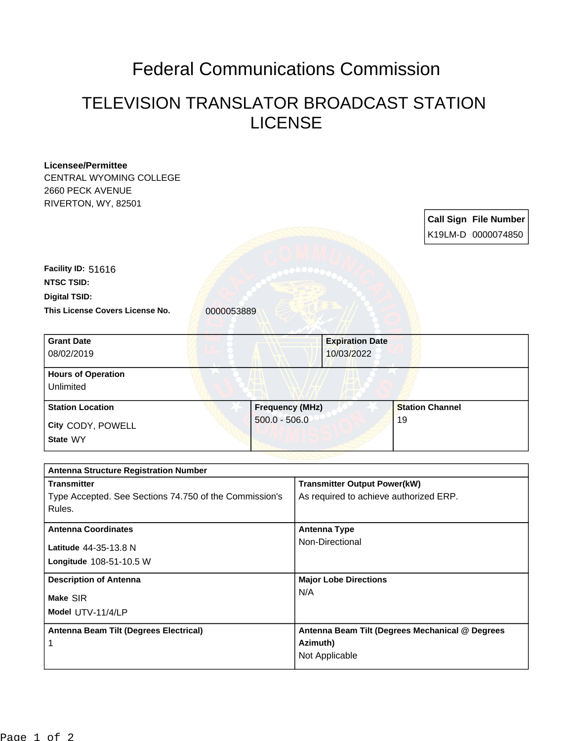## Federal Communications Commission

## TELEVISION TRANSLATOR BROADCAST STATION LICENSE

| <b>Licensee/Permittee</b>                              |                                           |                                        |                                                 |                        |  |                              |
|--------------------------------------------------------|-------------------------------------------|----------------------------------------|-------------------------------------------------|------------------------|--|------------------------------|
| CENTRAL WYOMING COLLEGE                                |                                           |                                        |                                                 |                        |  |                              |
| 2660 PECK AVENUE                                       |                                           |                                        |                                                 |                        |  |                              |
| RIVERTON, WY, 82501                                    |                                           |                                        |                                                 |                        |  |                              |
|                                                        |                                           |                                        |                                                 |                        |  | <b>Call Sign File Number</b> |
|                                                        |                                           |                                        |                                                 |                        |  | K19LM-D 0000074850           |
|                                                        |                                           |                                        |                                                 |                        |  |                              |
| Facility ID: 51616                                     |                                           |                                        |                                                 |                        |  |                              |
| <b>NTSC TSID:</b>                                      |                                           |                                        |                                                 |                        |  |                              |
| <b>Digital TSID:</b>                                   |                                           |                                        |                                                 |                        |  |                              |
| This License Covers License No.<br>0000053889          |                                           |                                        |                                                 |                        |  |                              |
|                                                        |                                           |                                        |                                                 |                        |  |                              |
| <b>Grant Date</b>                                      |                                           |                                        | <b>Expiration Date</b>                          |                        |  |                              |
| 08/02/2019                                             |                                           |                                        | 10/03/2022                                      |                        |  |                              |
|                                                        |                                           |                                        |                                                 |                        |  |                              |
| <b>Hours of Operation</b>                              |                                           |                                        |                                                 |                        |  |                              |
| Unlimited                                              |                                           |                                        |                                                 |                        |  |                              |
| <b>Station Location</b>                                | <b>Frequency (MHz)</b><br>$500.0 - 506.0$ |                                        |                                                 | <b>Station Channel</b> |  |                              |
| City CODY, POWELL                                      |                                           |                                        |                                                 | 19                     |  |                              |
| State WY                                               |                                           |                                        |                                                 |                        |  |                              |
|                                                        |                                           |                                        |                                                 |                        |  |                              |
| <b>Antenna Structure Registration Number</b>           |                                           |                                        |                                                 |                        |  |                              |
| <b>Transmitter</b>                                     |                                           |                                        | <b>Transmitter Output Power(kW)</b>             |                        |  |                              |
| Type Accepted. See Sections 74.750 of the Commission's |                                           | As required to achieve authorized ERP. |                                                 |                        |  |                              |
| Rules.                                                 |                                           |                                        |                                                 |                        |  |                              |
|                                                        |                                           |                                        |                                                 |                        |  |                              |
| <b>Antenna Coordinates</b>                             |                                           |                                        | <b>Antenna Type</b><br>Non-Directional          |                        |  |                              |
| Latitude 44-35-13.8 N                                  |                                           |                                        |                                                 |                        |  |                              |
| Longitude 108-51-10.5 W                                |                                           |                                        |                                                 |                        |  |                              |
| <b>Description of Antenna</b>                          |                                           |                                        | <b>Major Lobe Directions</b>                    |                        |  |                              |
| Make SIR                                               |                                           | N/A                                    |                                                 |                        |  |                              |
| Model UTV-11/4/LP                                      |                                           |                                        |                                                 |                        |  |                              |
|                                                        |                                           |                                        |                                                 |                        |  |                              |
| Antenna Beam Tilt (Degrees Electrical)                 |                                           |                                        | Antenna Beam Tilt (Degrees Mechanical @ Degrees |                        |  |                              |
| 1                                                      |                                           | Azimuth)                               |                                                 |                        |  |                              |
|                                                        |                                           |                                        | Not Applicable                                  |                        |  |                              |